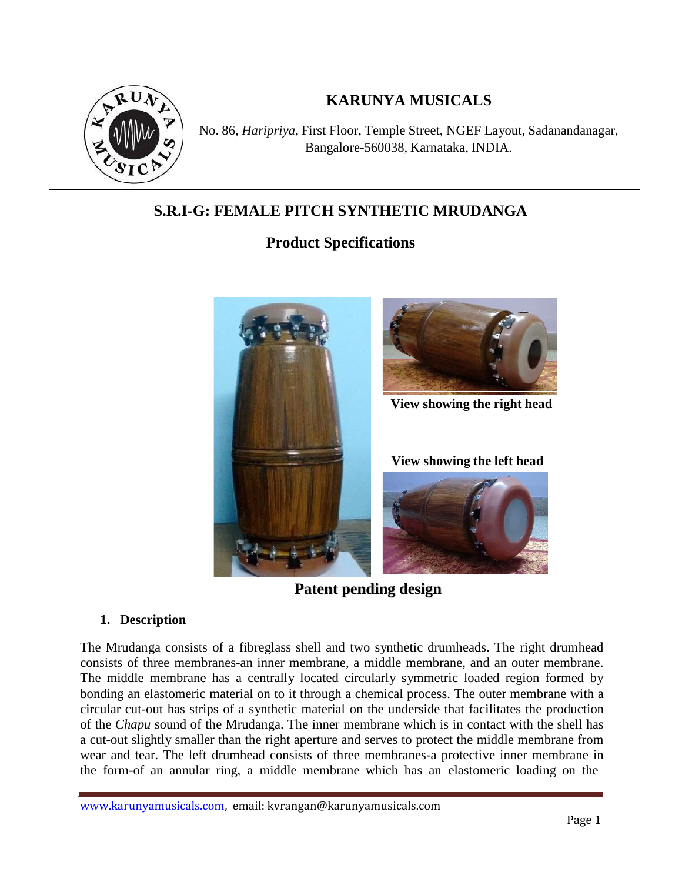

# **KARUNYA MUSICALS**

No. 86, *Haripriya,* First Floor, Temple Street, NGEF Layout, Sadanandanagar, Bangalore-560038, Karnataka, INDIA.

# **S.R.I-G: FEMALE PITCH SYNTHETIC MRUDANGA**

# **Product Specifications**



**Patent pending design**

## **1. Description**

The Mrudanga consists of a fibreglass shell and two synthetic drumheads. The right drumhead consists of three membranes-an inner membrane, a middle membrane, and an outer membrane. The middle membrane has a centrally located circularly symmetric loaded region formed by bonding an elastomeric material on to it through a chemical process. The outer membrane with a circular cut-out has strips of a synthetic material on the underside that facilitates the production of the *Chapu* sound of the Mrudanga. The inner membrane which is in contact with the shell has a cut-out slightly smaller than the right aperture and serves to protect the middle membrane from wear and tear. The left drumhead consists of three membranes-a protective inner membrane in the form-of an annular ring, a middle membrane which has an elastomeric loading on the

www.karunyamusicals.com, email: kvrangan@karunyamusicals.com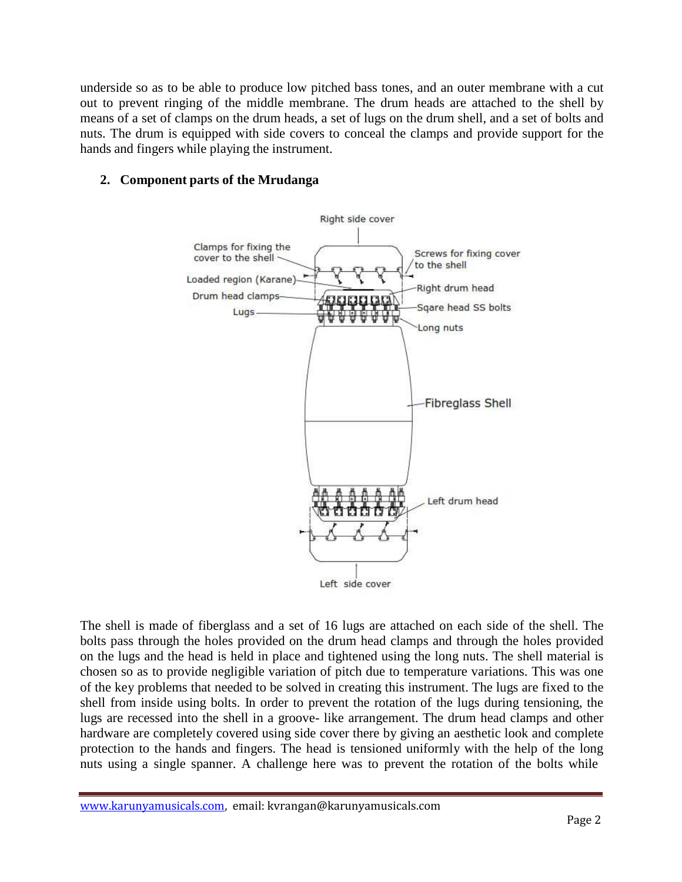underside so as to be able to produce low pitched bass tones, and an outer membrane with a cut out to prevent ringing of the middle membrane. The drum heads are attached to the shell by means of a set of clamps on the drum heads, a set of lugs on the drum shell, and a set of bolts and nuts. The drum is equipped with side covers to conceal the clamps and provide support for the hands and fingers while playing the instrument.

#### **2. Component parts of the Mrudanga**



The shell is made of fiberglass and a set of 16 lugs are attached on each side of the shell. The bolts pass through the holes provided on the drum head clamps and through the holes provided on the lugs and the head is held in place and tightened using the long nuts. The shell material is chosen so as to provide negligible variation of pitch due to temperature variations. This was one of the key problems that needed to be solved in creating this instrument. The lugs are fixed to the shell from inside using bolts. In order to prevent the rotation of the lugs during tensioning, the lugs are recessed into the shell in a groove- like arrangement. The drum head clamps and other hardware are completely covered using side cover there by giving an aesthetic look and complete protection to the hands and fingers. The head is tensioned uniformly with the help of the long nuts using a single spanner. A challenge here was to prevent the rotation of the bolts while

www.karunyamusicals.com, email: kvrangan@karunyamusicals.com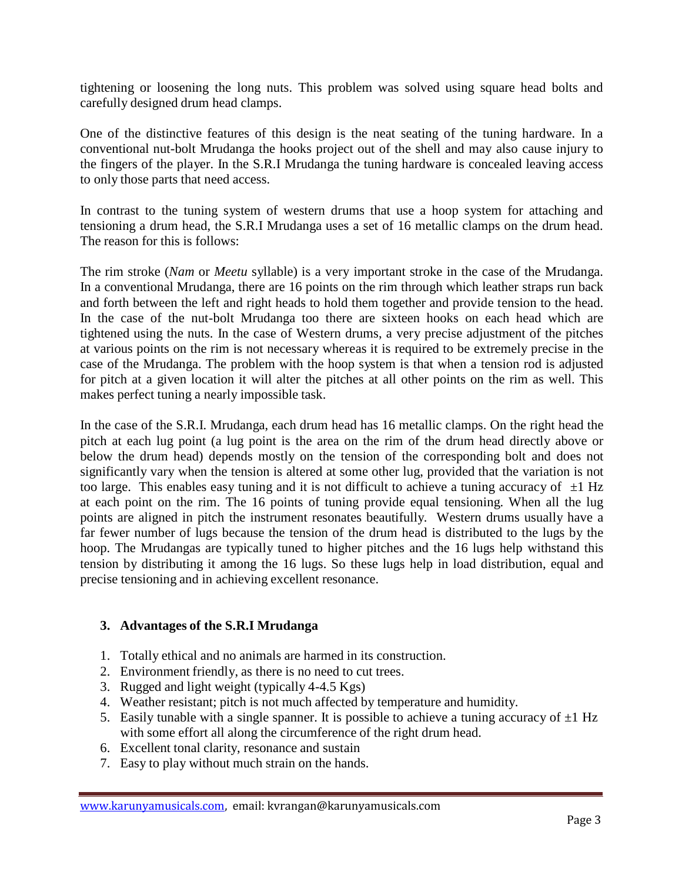tightening or loosening the long nuts. This problem was solved using square head bolts and carefully designed drum head clamps.

One of the distinctive features of this design is the neat seating of the tuning hardware. In a conventional nut-bolt Mrudanga the hooks project out of the shell and may also cause injury to the fingers of the player. In the S.R.I Mrudanga the tuning hardware is concealed leaving access to only those parts that need access.

In contrast to the tuning system of western drums that use a hoop system for attaching and tensioning a drum head, the S.R.I Mrudanga uses a set of 16 metallic clamps on the drum head. The reason for this is follows:

The rim stroke (*Nam* or *Meetu* syllable) is a very important stroke in the case of the Mrudanga. In a conventional Mrudanga, there are 16 points on the rim through which leather straps run back and forth between the left and right heads to hold them together and provide tension to the head. In the case of the nut-bolt Mrudanga too there are sixteen hooks on each head which are tightened using the nuts. In the case of Western drums, a very precise adjustment of the pitches at various points on the rim is not necessary whereas it is required to be extremely precise in the case of the Mrudanga. The problem with the hoop system is that when a tension rod is adjusted for pitch at a given location it will alter the pitches at all other points on the rim as well. This makes perfect tuning a nearly impossible task.

In the case of the S.R.I. Mrudanga, each drum head has 16 metallic clamps. On the right head the pitch at each lug point (a lug point is the area on the rim of the drum head directly above or below the drum head) depends mostly on the tension of the corresponding bolt and does not significantly vary when the tension is altered at some other lug, provided that the variation is not too large. This enables easy tuning and it is not difficult to achieve a tuning accuracy of  $\pm 1$  Hz at each point on the rim. The 16 points of tuning provide equal tensioning. When all the lug points are aligned in pitch the instrument resonates beautifully. Western drums usually have a far fewer number of lugs because the tension of the drum head is distributed to the lugs by the hoop. The Mrudangas are typically tuned to higher pitches and the 16 lugs help withstand this tension by distributing it among the 16 lugs. So these lugs help in load distribution, equal and precise tensioning and in achieving excellent resonance.

#### **3. Advantages of the S.R.I Mrudanga**

- 1. Totally ethical and no animals are harmed in its construction.
- 2. Environment friendly, as there is no need to cut trees.
- 3. Rugged and light weight (typically 4-4.5 Kgs)
- 4. Weather resistant; pitch is not much affected by temperature and humidity.
- 5. Easily tunable with a single spanner. It is possible to achieve a tuning accuracy of  $\pm 1$  Hz with some effort all along the circumference of the right drum head.
- 6. Excellent tonal clarity, resonance and sustain
- 7. Easy to play without much strain on the hands.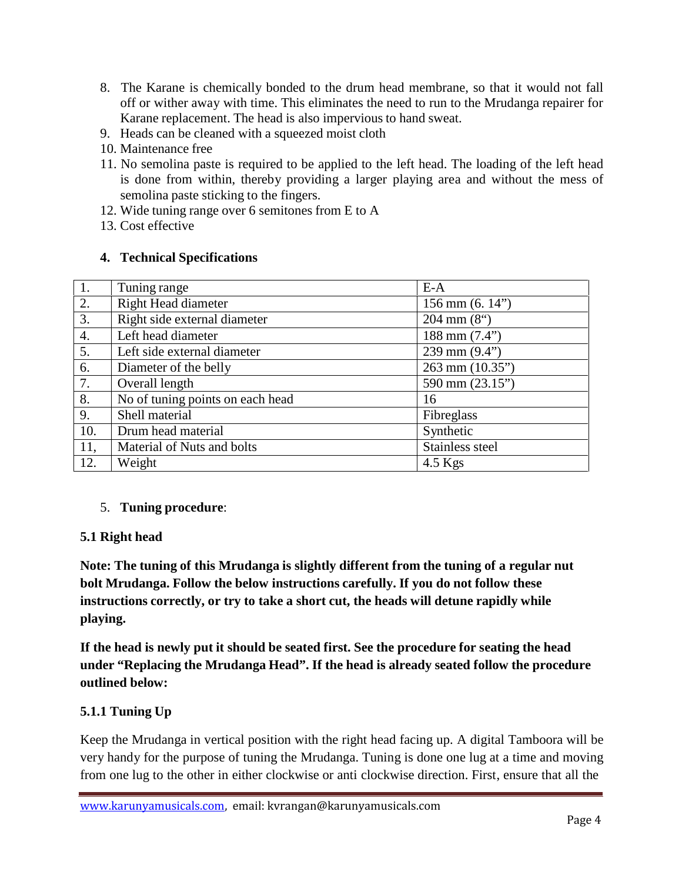- 8. The Karane is chemically bonded to the drum head membrane, so that it would not fall off or wither away with time. This eliminates the need to run to the Mrudanga repairer for Karane replacement. The head is also impervious to hand sweat.
- 9. Heads can be cleaned with a squeezed moist cloth
- 10. Maintenance free
- 11. No semolina paste is required to be applied to the left head. The loading of the left head is done from within, thereby providing a larger playing area and without the mess of semolina paste sticking to the fingers.
- 12. Wide tuning range over 6 semitones from E to A
- 13. Cost effective

#### **4. Technical Specifications**

| 1.  | Tuning range                     | $E-A$                        |
|-----|----------------------------------|------------------------------|
| 2.  | Right Head diameter              | $156 \text{ mm}$ (6. 14")    |
| 3.  | Right side external diameter     | $204 \text{ mm} (8^{\circ})$ |
| 4.  | Left head diameter               | 188 mm $(7.4")$              |
| 5.  | Left side external diameter      | 239 mm $(9.4")$              |
| 6.  | Diameter of the belly            | $263$ mm $(10.35")$          |
| 7.  | Overall length                   | 590 mm (23.15")              |
| 8.  | No of tuning points on each head | 16                           |
| 9.  | Shell material                   | Fibreglass                   |
| 10. | Drum head material               | Synthetic                    |
| 11, | Material of Nuts and bolts       | Stainless steel              |
| 12. | Weight                           | $4.5$ Kgs                    |

#### 5. **Tuning procedure**:

## **5.1 Right head**

**Note: The tuning of this Mrudanga is slightly different from the tuning of a regular nut bolt Mrudanga. Follow the below instructions carefully. If you do not follow these instructions correctly, or try to take a short cut, the heads will detune rapidly while playing.**

**If the head is newly put it should be seated first.See the procedure for seating the head under "Replacing the Mrudanga Head". If the head is already seated follow the procedure outlined below:**

## **5.1.1 Tuning Up**

Keep the Mrudanga in vertical position with the right head facing up. A digital Tamboora will be very handy for the purpose of tuning the Mrudanga. Tuning is done one lug at a time and moving from one lug to the other in either clockwise or anti clockwise direction. First, ensure that all the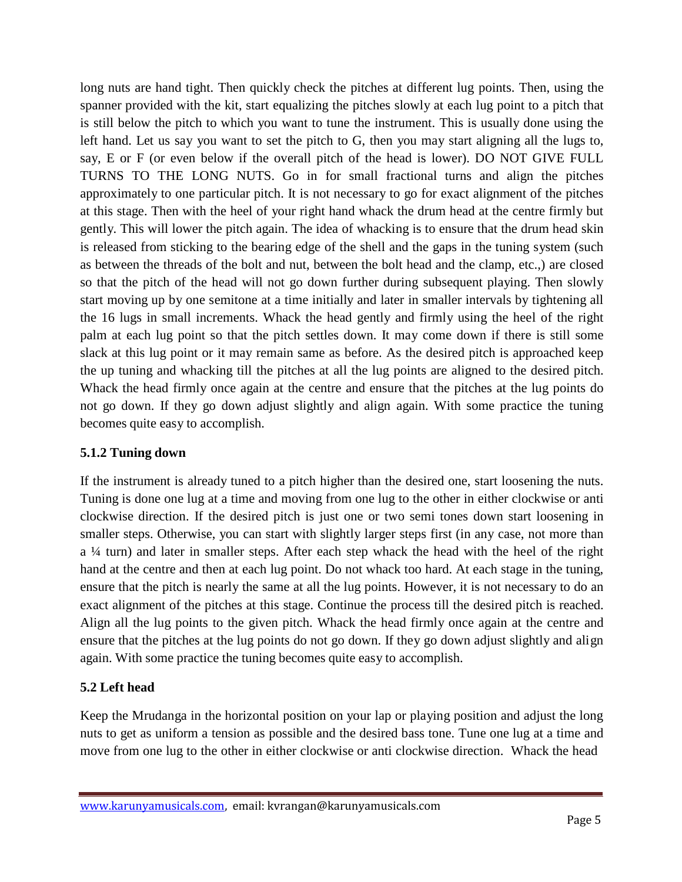long nuts are hand tight. Then quickly check the pitches at different lug points. Then, using the spanner provided with the kit, start equalizing the pitches slowly at each lug point to a pitch that is still below the pitch to which you want to tune the instrument. This is usually done using the left hand. Let us say you want to set the pitch to G, then you may start aligning all the lugs to, say,  $E$  or  $F$  (or even below if the overall pitch of the head is lower). DO NOT GIVE FULL TURNS TO THE LONG NUTS. Go in for small fractional turns and align the pitches approximately to one particular pitch. It is not necessary to go for exact alignment of the pitches at this stage. Then with the heel of your right hand whack the drum head at the centre firmly but gently. This will lower the pitch again. The idea of whacking is to ensure that the drum head skin is released from sticking to the bearing edge of the shell and the gaps in the tuning system (such as between the threads of the bolt and nut, between the bolt head and the clamp, etc.,) are closed so that the pitch of the head will not go down further during subsequent playing. Then slowly start moving up by one semitone at a time initially and later in smaller intervals by tightening all the 16 lugs in small increments. Whack the head gently and firmly using the heel of the right palm at each lug point so that the pitch settles down. It may come down if there is still some slack at this lug point or it may remain same as before. As the desired pitch is approached keep the up tuning and whacking till the pitches at all the lug points are aligned to the desired pitch. Whack the head firmly once again at the centre and ensure that the pitches at the lug points do not go down. If they go down adjust slightly and align again. With some practice the tuning becomes quite easy to accomplish.

## **5.1.2 Tuning down**

If the instrument is already tuned to a pitch higher than the desired one, start loosening the nuts. Tuning is done one lug at a time and moving from one lug to the other in either clockwise or anti clockwise direction. If the desired pitch is just one or two semi tones down start loosening in smaller steps. Otherwise, you can start with slightly larger steps first (in any case, not more than a ¼ turn) and later in smaller steps. After each step whack the head with the heel of the right hand at the centre and then at each lug point. Do not whack too hard. At each stage in the tuning, ensure that the pitch is nearly the same at all the lug points. However, it is not necessary to do an exact alignment of the pitches at this stage. Continue the process till the desired pitch is reached. Align all the lug points to the given pitch. Whack the head firmly once again at the centre and ensure that the pitches at the lug points do not go down. If they go down adjust slightly and align again. With some practice the tuning becomes quite easy to accomplish.

## **5.2 Left head**

Keep the Mrudanga in the horizontal position on your lap or playing position and adjust the long nuts to get as uniform a tension as possible and the desired bass tone. Tune one lug at a time and move from one lug to the other in either clockwise or anti clockwise direction. Whack the head

www.karunyamusicals.com, email: kvrangan@karunyamusicals.com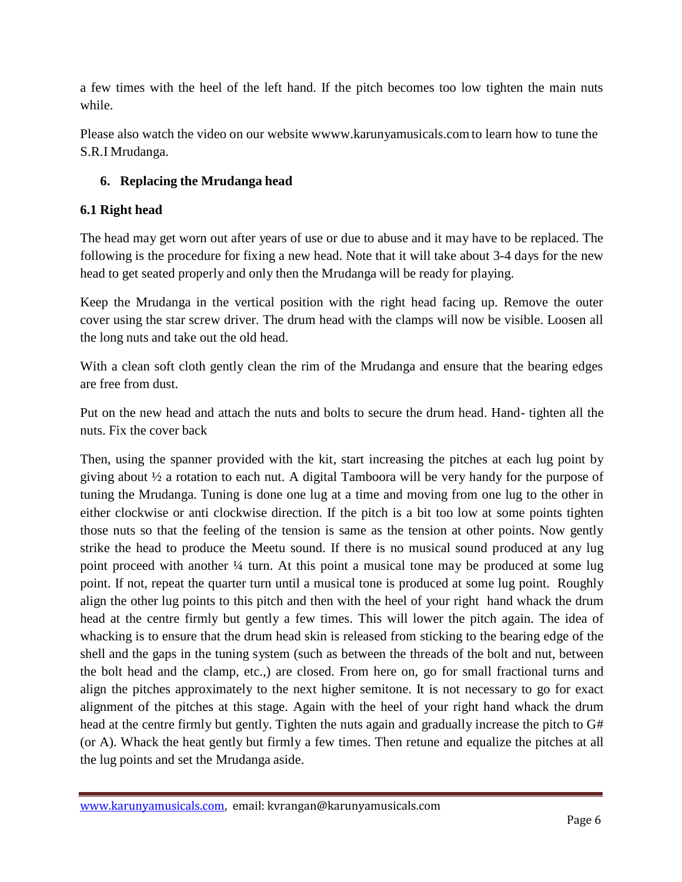a few times with the heel of the left hand. If the pitch becomes too low tighten the main nuts while.

Please also watch the video on our website wwww.karunyamusicals.comto learn how to tune the S.R.I Mrudanga.

## **6. Replacing the Mrudanga head**

### **6.1 Right head**

The head may get worn out after years of use or due to abuse and it may have to be replaced. The following is the procedure for fixing a new head. Note that it will take about 3-4 days for the new head to get seated properly and only then the Mrudanga will be ready for playing.

Keep the Mrudanga in the vertical position with the right head facing up. Remove the outer cover using the star screw driver. The drum head with the clamps will now be visible. Loosen all the long nuts and take out the old head.

With a clean soft cloth gently clean the rim of the Mrudanga and ensure that the bearing edges are free from dust.

Put on the new head and attach the nuts and bolts to secure the drum head. Hand- tighten all the nuts. Fix the cover back

Then, using the spanner provided with the kit, start increasing the pitches at each lug point by giving about  $\frac{1}{2}$  a rotation to each nut. A digital Tamboora will be very handy for the purpose of tuning the Mrudanga. Tuning is done one lug at a time and moving from one lug to the other in either clockwise or anti clockwise direction. If the pitch is a bit too low at some points tighten those nuts so that the feeling of the tension is same as the tension at other points. Now gently strike the head to produce the Meetu sound. If there is no musical sound produced at any lug point proceed with another ¼ turn. At this point a musical tone may be produced at some lug point. If not, repeat the quarter turn until a musical tone is produced at some lug point. Roughly align the other lug points to this pitch and then with the heel of your right hand whack the drum head at the centre firmly but gently a few times. This will lower the pitch again. The idea of whacking is to ensure that the drum head skin is released from sticking to the bearing edge of the shell and the gaps in the tuning system (such as between the threads of the bolt and nut, between the bolt head and the clamp, etc.,) are closed. From here on, go for small fractional turns and align the pitches approximately to the next higher semitone. It is not necessary to go for exact alignment of the pitches at this stage. Again with the heel of your right hand whack the drum head at the centre firmly but gently. Tighten the nuts again and gradually increase the pitch to G# (or A). Whack the heat gently but firmly a few times. Then retune and equalize the pitches at all the lug points and set the Mrudanga aside.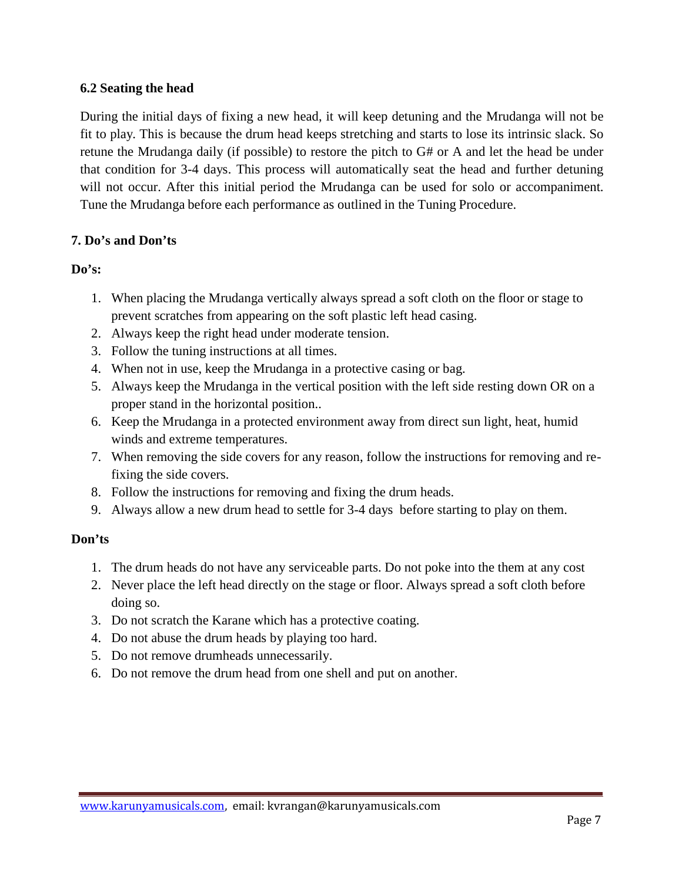#### **6.2 Seating the head**

During the initial days of fixing a new head, it will keep detuning and the Mrudanga will not be fit to play. This is because the drum head keeps stretching and starts to lose its intrinsic slack. So retune the Mrudanga daily (if possible) to restore the pitch to  $G#$  or A and let the head be under that condition for 3-4 days. This process will automatically seat the head and further detuning will not occur. After this initial period the Mrudanga can be used for solo or accompaniment. Tune the Mrudanga before each performance as outlined in the Tuning Procedure.

#### **7. Do's and Don'ts**

#### **Do's:**

- 1. When placing the Mrudanga vertically always spread a soft cloth on the floor or stage to prevent scratches from appearing on the soft plastic left head casing.
- 2. Always keep the right head under moderate tension.
- 3. Follow the tuning instructions at all times.
- 4. When not in use, keep the Mrudanga in a protective casing or bag.
- 5. Always keep the Mrudanga in the vertical position with the left side resting down OR on a proper stand in the horizontal position..
- 6. Keep the Mrudanga in a protected environment away from direct sun light, heat, humid winds and extreme temperatures.
- 7. When removing the side covers for any reason, follow the instructions for removing and refixing the side covers.
- 8. Follow the instructions for removing and fixing the drum heads.
- 9. Always allow a new drum head to settle for 3-4 days before starting to play on them.

#### **Don'ts**

- 1. The drum heads do not have any serviceable parts. Do not poke into the them at any cost
- 2. Never place the left head directly on the stage or floor. Always spread a soft cloth before doing so.
- 3. Do not scratch the Karane which has a protective coating.
- 4. Do not abuse the drum heads by playing too hard.
- 5. Do not remove drumheads unnecessarily.
- 6. Do not remove the drum head from one shell and put on another.